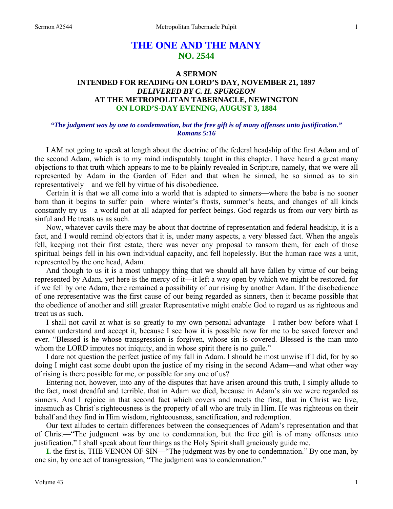# **THE ONE AND THE MANY NO. 2544**

## **A SERMON INTENDED FOR READING ON LORD'S DAY, NOVEMBER 21, 1897**  *DELIVERED BY C. H. SPURGEON*  **AT THE METROPOLITAN TABERNACLE, NEWINGTON ON LORD'S-DAY EVENING, AUGUST 3, 1884**

#### *"The judgment was by one to condemnation, but the free gift is of many offenses unto justification." Romans 5:16*

I AM not going to speak at length about the doctrine of the federal headship of the first Adam and of the second Adam, which is to my mind indisputably taught in this chapter. I have heard a great many objections to that truth which appears to me to be plainly revealed in Scripture, namely, that we were all represented by Adam in the Garden of Eden and that when he sinned, he so sinned as to sin representatively—and we fell by virtue of his disobedience.

 Certain it is that we all come into a world that is adapted to sinners—where the babe is no sooner born than it begins to suffer pain—where winter's frosts, summer's heats, and changes of all kinds constantly try us—a world not at all adapted for perfect beings. God regards us from our very birth as sinful and He treats us as such.

 Now, whatever cavils there may be about that doctrine of representation and federal headship, it is a fact, and I would remind objectors that it is, under many aspects, a very blessed fact. When the angels fell, keeping not their first estate, there was never any proposal to ransom them, for each of those spiritual beings fell in his own individual capacity, and fell hopelessly. But the human race was a unit, represented by the one head, Adam.

 And though to us it is a most unhappy thing that we should all have fallen by virtue of our being represented by Adam, yet here is the mercy of it—it left a way open by which we might be restored, for if we fell by one Adam, there remained a possibility of our rising by another Adam. If the disobedience of one representative was the first cause of our being regarded as sinners, then it became possible that the obedience of another and still greater Representative might enable God to regard us as righteous and treat us as such.

 I shall not cavil at what is so greatly to my own personal advantage—I rather bow before what I cannot understand and accept it, because I see how it is possible now for me to be saved forever and ever. "Blessed is he whose transgression is forgiven, whose sin is covered. Blessed is the man unto whom the LORD imputes not iniquity, and in whose spirit there is no guile."

 I dare not question the perfect justice of my fall in Adam. I should be most unwise if I did, for by so doing I might cast some doubt upon the justice of my rising in the second Adam—and what other way of rising is there possible for me, or possible for any one of us?

 Entering not, however, into any of the disputes that have arisen around this truth, I simply allude to the fact, most dreadful and terrible, that in Adam we died, because in Adam's sin we were regarded as sinners. And I rejoice in that second fact which covers and meets the first, that in Christ we live, inasmuch as Christ's righteousness is the property of all who are truly in Him. He was righteous on their behalf and they find in Him wisdom, righteousness, sanctification, and redemption.

 Our text alludes to certain differences between the consequences of Adam's representation and that of Christ—"The judgment was by one to condemnation, but the free gift is of many offenses unto justification." I shall speak about four things as the Holy Spirit shall graciously guide me.

**I.** the first is, THE VENON OF SIN—"The judgment was by one to condemnation." By one man, by one sin, by one act of transgression, "The judgment was to condemnation."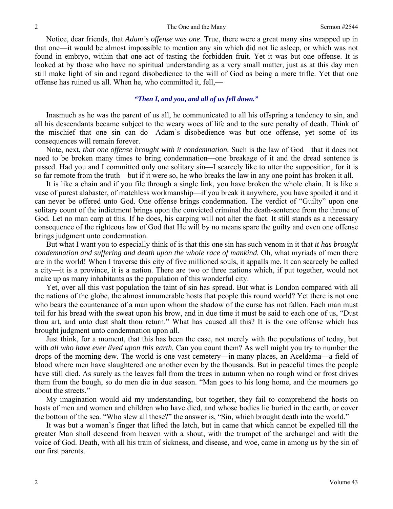Notice, dear friends, that *Adam's offense was one*. True, there were a great many sins wrapped up in that one—it would be almost impossible to mention any sin which did not lie asleep, or which was not found in embryo, within that one act of tasting the forbidden fruit. Yet it was but one offense. It is looked at by those who have no spiritual understanding as a very small matter, just as at this day men still make light of sin and regard disobedience to the will of God as being a mere trifle. Yet that one offense has ruined us all. When he, who committed it, fell,—

## *"Then I, and you***,** *and all of us fell down."*

 Inasmuch as he was the parent of us all, he communicated to all his offspring a tendency to sin, and all his descendants became subject to the weary woes of life and to the sure penalty of death. Think of the mischief that one sin can do—Adam's disobedience was but one offense, yet some of its consequences will remain forever.

 Note, next, *that one offense brought with it condemnation.* Such is the law of God—that it does not need to be broken many times to bring condemnation—one breakage of it and the dread sentence is passed. Had you and I committed only one solitary sin—I scarcely like to utter the supposition, for it is so far remote from the truth—but if it were so, he who breaks the law in any one point has broken it all.

 It is like a chain and if you file through a single link, you have broken the whole chain. It is like a vase of purest alabaster, of matchless workmanship—if you break it anywhere, you have spoiled it and it can never be offered unto God. One offense brings condemnation. The verdict of "Guilty" upon one solitary count of the indictment brings upon the convicted criminal the death-sentence from the throne of God. Let no man carp at this. If he does, his carping will not alter the fact. It still stands as a necessary consequence of the righteous law of God that He will by no means spare the guilty and even one offense brings judgment unto condemnation.

 But what I want you to especially think of is that this one sin has such venom in it that *it has brought condemnation and suffering and death upon the whole race of mankind.* Oh, what myriads of men there are in the world! When I traverse this city of five millioned souls, it appalls me. It can scarcely be called a city—it is a province, it is a nation. There are two or three nations which, if put together, would not make up as many inhabitants as the population of this wonderful city.

 Yet, over all this vast population the taint of sin has spread. But what is London compared with all the nations of the globe, the almost innumerable hosts that people this round world? Yet there is not one who bears the countenance of a man upon whom the shadow of the curse has not fallen. Each man must toil for his bread with the sweat upon his brow, and in due time it must be said to each one of us, "Dust thou art, and unto dust shalt thou return." What has caused all this? It is the one offense which has brought judgment unto condemnation upon all.

 Just think, for a moment, that this has been the case, not merely with the populations of today, but with *all who have ever lived upon this earth.* Can you count them? As well might you try to number the drops of the morning dew. The world is one vast cemetery—in many places, an Aceldama—a field of blood where men have slaughtered one another even by the thousands. But in peaceful times the people have still died. As surely as the leaves fall from the trees in autumn when no rough wind or frost drives them from the bough, so do men die in due season. "Man goes to his long home, and the mourners go about the streets."

 My imagination would aid my understanding, but together, they fail to comprehend the hosts on hosts of men and women and children who have died, and whose bodies lie buried in the earth, or cover the bottom of the sea. "Who slew all these?" the answer is, "Sin, which brought death into the world."

 It was but a woman's finger that lifted the latch, but in came that which cannot be expelled till the greater Man shall descend from heaven with a shout, with the trumpet of the archangel and with the voice of God. Death, with all his train of sickness, and disease, and woe, came in among us by the sin of our first parents.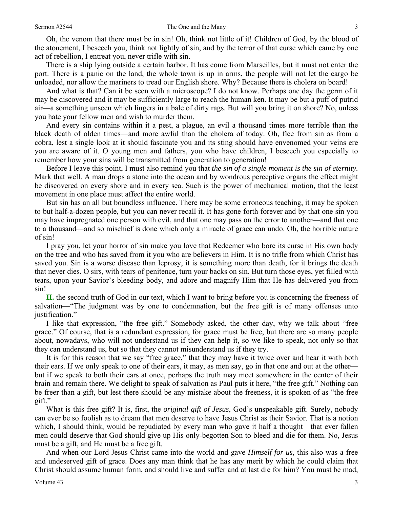Oh, the venom that there must be in sin! Oh, think not little of it! Children of God, by the blood of the atonement, I beseech you, think not lightly of sin, and by the terror of that curse which came by one act of rebellion, I entreat you, never trifle with sin.

 There is a ship lying outside a certain harbor. It has come from Marseilles, but it must not enter the port. There is a panic on the land, the whole town is up in arms, the people will not let the cargo be unloaded, nor allow the mariners to tread our English shore. Why? Because there is cholera on board!

 And what is that? Can it be seen with a microscope? I do not know. Perhaps one day the germ of it may be discovered and it may be sufficiently large to reach the human ken. It may be but a puff of putrid air—a something unseen which lingers in a bale of dirty rags. But will you bring it on shore? No, unless you hate your fellow men and wish to murder them.

 And every sin contains within it a pest, a plague, an evil a thousand times more terrible than the black death of olden times—and more awful than the cholera of today. Oh, flee from sin as from a cobra, lest a single look at it should fascinate you and its sting should have envenomed your veins ere you are aware of it. O young men and fathers, you who have children, I beseech you especially to remember how your sins will be transmitted from generation to generation!

 Before I leave this point, I must also remind you that *the sin of a single moment is the sin of eternity.*  Mark that well. A man drops a stone into the ocean and by wondrous perceptive organs the effect might be discovered on every shore and in every sea. Such is the power of mechanical motion, that the least movement in one place must affect the entire world.

 But sin has an all but boundless influence. There may be some erroneous teaching, it may be spoken to but half-a-dozen people, but you can never recall it. It has gone forth forever and by that one sin you may have impregnated one person with evil, and that one may pass on the error to another—and that one to a thousand—and so mischief is done which only a miracle of grace can undo. Oh, the horrible nature of sin!

 I pray you, let your horror of sin make you love that Redeemer who bore its curse in His own body on the tree and who has saved from it you who are believers in Him. It is no trifle from which Christ has saved you. Sin is a worse disease than leprosy, it is something more than death, for it brings the death that never dies. O sirs, with tears of penitence, turn your backs on sin. But turn those eyes, yet filled with tears, upon your Savior's bleeding body, and adore and magnify Him that He has delivered you from sin!

**II.** the second truth of God in our text, which I want to bring before you is concerning the freeness of salvation—"The judgment was by one to condemnation, but the free gift is of many offenses unto justification."

 I like that expression, "the free gift." Somebody asked, the other day, why we talk about "free grace." Of course, that is a redundant expression, for grace must be free, but there are so many people about, nowadays, who will not understand us if they can help it, so we like to speak, not only so that they can understand us, but so that they cannot misunderstand us if they try.

 It is for this reason that we say "free grace," that they may have it twice over and hear it with both their ears. If we only speak to one of their ears, it may, as men say, go in that one and out at the other but if we speak to both their ears at once, perhaps the truth may meet somewhere in the center of their brain and remain there. We delight to speak of salvation as Paul puts it here, "the free gift." Nothing can be freer than a gift, but lest there should be any mistake about the freeness, it is spoken of as "the free gift."

 What is this free gift? It is, first, the *original gift of Jesus*, God's unspeakable gift. Surely, nobody can ever be so foolish as to dream that men deserve to have Jesus Christ as their Savior. That is a notion which, I should think, would be repudiated by every man who gave it half a thought—that ever fallen men could deserve that God should give up His only-begotten Son to bleed and die for them. No*,* Jesus must be a gift, and He must be a free gift.

 And when our Lord Jesus Christ came into the world and gave *Himself for us*, this also was a free and undeserved gift of grace. Does any man think that he has any merit by which he could claim that Christ should assume human form, and should live and suffer and at last die for him? You must be mad,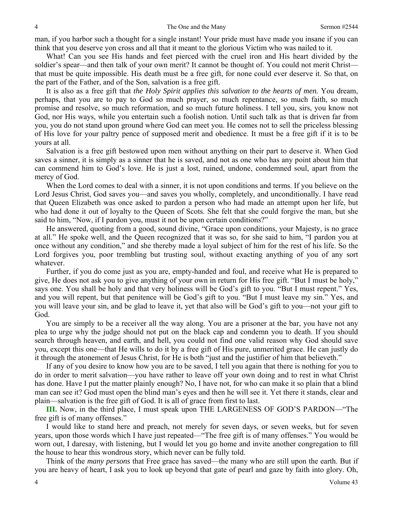man, if you harbor such a thought for a single instant! Your pride must have made you insane if you can think that you deserve yon cross and all that it meant to the glorious Victim who was nailed to it.

 What! Can you see His hands and feet pierced with the cruel iron and His heart divided by the soldier's spear—and then talk of your own merit? It cannot be thought of. You could not merit Christ that must be quite impossible. His death must be a free gift, for none could ever deserve it. So that, on the part of the Father, and of the Son, salvation is a free gift.

 It is also as a free gift that *the Holy Spirit applies this salvation to the hearts of men.* You dream, perhaps, that you are to pay to God so much prayer, so much repentance, so much faith, so much promise and resolve, so much reformation, and so much future holiness. I tell you, sirs, you know not God, nor His ways, while you entertain such a foolish notion. Until such talk as that is driven far from you, you do not stand upon ground where God can meet you. He comes not to sell the priceless blessing of His love for your paltry pence of supposed merit and obedience. It must be a free gift if it is to be yours at all.

 Salvation is a free gift bestowed upon men without anything on their part to deserve it. When God saves a sinner, it is simply as a sinner that he is saved, and not as one who has any point about him that can commend him to God's love. He is just a lost, ruined, undone, condemned soul, apart from the mercy of God.

 When the Lord comes to deal with a sinner, it is not upon conditions and terms. If you believe on the Lord Jesus Christ, God saves you—and saves you wholly, completely, and unconditionally. I have read that Queen Elizabeth was once asked to pardon a person who had made an attempt upon her life, but who had done it out of loyalty to the Queen of Scots. She felt that she could forgive the man, but she said to him, "Now, if I pardon you, must it not be upon certain conditions?"

 He answered, quoting from a good, sound divine, "Grace upon conditions, your Majesty, is no grace at all." He spoke well, and the Queen recognized that it was so, for she said to him, "I pardon you at once without any condition," and she thereby made a loyal subject of him for the rest of his life. So the Lord forgives you, poor trembling but trusting soul, without exacting anything of you of any sort whatever.

 Further, if you do come just as you are, empty-handed and foul, and receive what He is prepared to give, He does not ask you to give anything of your own in return for His free gift. "But I must be holy," says one. You shall be holy and that very holiness will be God's gift to you. "But I must repent." Yes, and you will repent, but that penitence will be God's gift to you. "But I must leave my sin." Yes, and you will leave your sin, and be glad to leave it, yet that also will be God's gift to you—not your gift to God.

 You are simply to be a receiver all the way along. You are a prisoner at the bar, you have not any plea to urge why the judge should not put on the black cap and condemn you to death. If you should search through heaven, and earth, and hell, you could not find one valid reason why God should save you, except this one—that He wills to do it by a free gift of His pure, unmerited grace. He can justly do it through the atonement of Jesus Christ, for He is both "just and the justifier of him that believeth."

 If any of you desire to know how you are to be saved, I tell you again that there is nothing for you to do in order to merit salvation—you have rather to leave off your own doing and to rest in what Christ has done. Have I put the matter plainly enough? No, I have not, for who can make it so plain that a blind man can see it? God must open the blind man's eyes and then he will see it. Yet there it stands, clear and plain—salvation is the free gift of God. It is all of grace from first to last.

**III.** Now, in the third place, I must speak upon THE LARGENESS OF GOD'S PARDON—"The free gift is of many offenses."

 I would like to stand here and preach, not merely for seven days, or seven weeks, but for seven years, upon those words which I have just repeated—"The free gift is of many offenses." You would be worn out, I daresay, with listening, but I would let you go home and invite another congregation to fill the house to hear this wondrous story, which never can be fully told.

 Think of the *many persons* that Free grace has saved—the many who are still upon the earth. But if you are heavy of heart, I ask you to look up beyond that gate of pearl and gaze by faith into glory. Oh,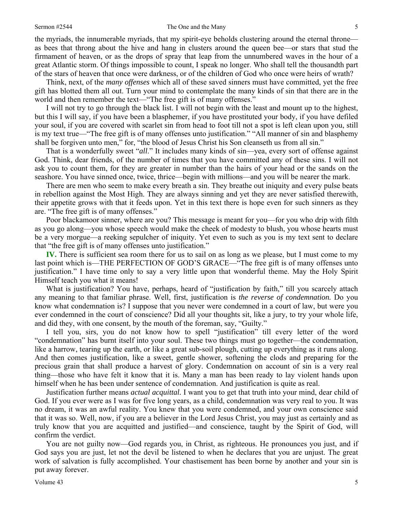#### Sermon #2544 **Sermon #2544** The One and the Many 5

the myriads, the innumerable myriads, that my spirit-eye beholds clustering around the eternal throne as bees that throng about the hive and hang in clusters around the queen bee—or stars that stud the firmament of heaven, or as the drops of spray that leap from the unnumbered waves in the hour of a great Atlantic storm. Of things impossible to count, I speak no longer. Who shall tell the thousandth part of the stars of heaven that once were darkness, or of the children of God who once were heirs of wrath?

 Think, next, of the *many offenses* which all of these saved sinners must have committed, yet the free gift has blotted them all out. Turn your mind to contemplate the many kinds of sin that there are in the world and then remember the text—"The free gift is of many offenses."

 I will not try to go through the black list. I will not begin with the least and mount up to the highest, but this I will say, if you have been a blasphemer, if you have prostituted your body, if you have defiled your soul, if you are covered with scarlet sin from head to foot till not a spot is left clean upon you, still is my text true—"The free gift is of many offenses unto justification." "All manner of sin and blasphemy shall be forgiven unto men," for, "the blood of Jesus Christ his Son cleanseth us from all sin."

 That is a wonderfully sweet "*all*." It includes many kinds of sin—yea, every sort of offense against God. Think, dear friends, of the number of times that you have committed any of these sins. I will not ask you to count them, for they are greater in number than the hairs of your head or the sands on the seashore. You have sinned once, twice, thrice—begin with millions—and you will be nearer the mark.

 There are men who seem to make every breath a sin. They breathe out iniquity and every pulse beats in rebellion against the Most High. They are always sinning and yet they are never satisfied therewith, their appetite grows with that it feeds upon. Yet in this text there is hope even for such sinners as they are. "The free gift is of many offenses."

 Poor blackamoor sinner, where are you? This message is meant for you—for you who drip with filth as you go along—you whose speech would make the cheek of modesty to blush, you whose hearts must be a very morgue—a reeking sepulcher of iniquity. Yet even to such as you is my text sent to declare that "the free gift is of many offenses unto justification."

**IV.** There is sufficient sea room there for us to sail on as long as we please, but I must come to my last point which is—THE PERFECTION OF GOD'S GRACE—"The free gift is of many offenses unto justification." I have time only to say a very little upon that wonderful theme. May the Holy Spirit Himself teach you what it means!

 What is justification? You have, perhaps, heard of "justification by faith," till you scarcely attach any meaning to that familiar phrase. Well, first, justification is *the reverse of condemnation.* Do you know what condemnation is? I suppose that you never were condemned in a court of law, but were you ever condemned in the court of conscience? Did all your thoughts sit, like a jury, to try your whole life, and did they, with one consent, by the mouth of the foreman, say, "Guilty."

 I tell you, sirs, you do not know how to spell "justification" till every letter of the word "condemnation" has burnt itself into your soul. These two things must go together—the condemnation, like a harrow, tearing up the earth, or like a great sub-soil plough, cutting up everything as it runs along. And then comes justification, like a sweet, gentle shower, softening the clods and preparing for the precious grain that shall produce a harvest of glory. Condemnation on account of sin is a very real thing—those who have felt it know that it is. Many a man has been ready to lay violent hands upon himself when he has been under sentence of condemnation. And justification is quite as real.

 Justification further means *actual acquittal.* I want you to get that truth into your mind, dear child of God. If you ever were as I was for five long years, as a child, condemnation was very real to you. It was no dream, it was an awful reality. You knew that you were condemned, and your own conscience said that it was so. Well, now, if you are a believer in the Lord Jesus Christ, you may just as certainly and as truly know that you are acquitted and justified—and conscience, taught by the Spirit of God, will confirm the verdict.

 You are not guilty now—God regards you, in Christ, as righteous. He pronounces you just, and if God says you are just, let not the devil be listened to when he declares that you are unjust. The great work of salvation is fully accomplished. Your chastisement has been borne by another and your sin is put away forever.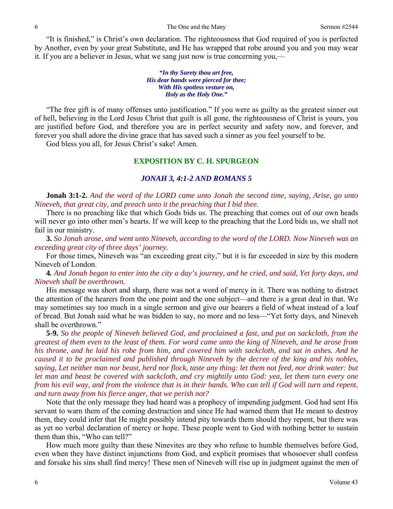"It is finished," is Christ's own declaration. The righteousness that God required of you is perfected by Another, even by your great Substitute, and He has wrapped that robe around you and you may wear it. If you are a believer in Jesus, what we sang just now is true concerning you,—

> *"In thy Surety thou art free, His dear hands were pierced for thee; With His spotless vesture on, Holy as the Holy One."*

 "The free gift is of many offenses unto justification." If you were as guilty as the greatest sinner out of hell, believing in the Lord Jesus Christ that guilt is all gone, the righteousness of Christ is yours, you are justified before God, and therefore you are in perfect security and safety now, and forever, and forever you shall adore the divine grace that has saved such a sinner as you feel yourself to be.

God bless you all, for Jesus Christ's sake! Amen.

#### **EXPOSITION BY C. H. SPURGEON**

#### *JONAH 3, 4:1-2 AND ROMANS 5*

**Jonah 3:1-2.** *And the word of the LORD came unto Jonah the second time, saying, Arise, go unto Nineveh, that great city, and preach unto it the preaching that I bid thee.* 

There is no preaching like that which Gods bids us. The preaching that comes out of our own heads will never go into other men's hearts. If we will keep to the preaching that the Lord bids us, we shall not fail in our ministry.

 **3.** *So Jonah arose, and went unto Nineveh, according to the word of the LORD. Now Nineveh was an exceeding great city of three days' journey.* 

For those times, Nineveh was "an exceeding great city," but it is far exceeded in size by this modern Nineveh of London.

**4***. And Jonah began to enter into the city a day's journey, and he cried, and said, Yet forty days, and Nineveh shall be overthrown.* 

His message was short and sharp, there was not a word of mercy in it. There was nothing to distract the attention of the hearers from the one point and the one subject—and there is a great deal in that. We may sometimes say too much in a single sermon and give our hearers a field of wheat instead of a loaf of bread. But Jonah said what he was bidden to say, no more and no less—"Yet forty days, and Nineveh shall be overthrown."

**5-9.** *So the people of Nineveh believed God, and proclaimed a fast, and put on sackcloth, from the greatest of them even to the least of them. For word came unto the king of Nineveh, and he arose from his throne, and he laid his robe from him, and covered him with sackcloth, and sat in ashes. And he caused it to be proclaimed and published through Nineveh by the decree of the king and his nobles, saying, Let neither man nor beast, herd nor flock, taste any thing: let them not feed, nor drink water: but let man and beast be covered with sackcloth, and cry mightily unto God: yea, let them turn every one from his evil way, and from the violence that is in their hands. Who can tell if God will turn and repent, and turn away from his fierce anger, that we perish not?* 

Note that the only message they had heard was a prophecy of impending judgment. God had sent His servant to warn them of the coming destruction and since He had warned them that He meant to destroy them, they could infer that He might possibly intend pity towards them should they repent, but there was as yet no verbal declaration of mercy or hope. These people went to God with nothing better to sustain them than this, "Who can tell?"

 How much more guilty than these Ninevites are they who refuse to humble themselves before God, even when they have distinct injunctions from God, and explicit promises that whosoever shall confess and forsake his sins shall find mercy! These men of Nineveh will rise up in judgment against the men of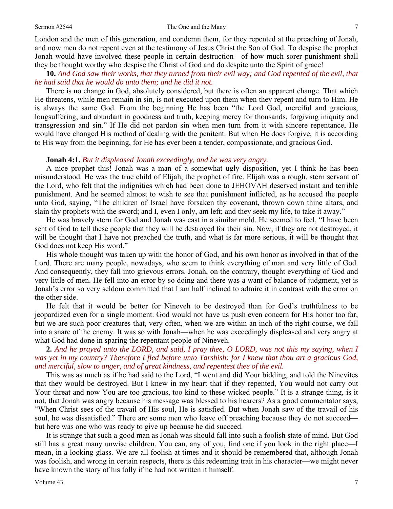London and the men of this generation, and condemn them, for they repented at the preaching of Jonah, and now men do not repent even at the testimony of Jesus Christ the Son of God. To despise the prophet Jonah would have involved these people in certain destruction—of how much sorer punishment shall they be thought worthy who despise the Christ of God and do despite unto the Spirit of grace!

**10.** *And God saw their works, that they turned from their evil way; and God repented of the evil, that he had said that he would do unto them; and he did it not.* 

There is no change in God, absolutely considered, but there is often an apparent change. That which He threatens, while men remain in sin, is not executed upon them when they repent and turn to Him. He is always the same God. From the beginning He has been "the Lord God, merciful and gracious, longsuffering, and abundant in goodness and truth, keeping mercy for thousands, forgiving iniquity and transgression and sin." If He did not pardon sin when men turn from it with sincere repentance, He would have changed His method of dealing with the penitent. But when He does forgive, it is according to His way from the beginning, for He has ever been a tender, compassionate, and gracious God.

#### **Jonah 4:1.** *But it displeased Jonah exceedingly, and he was very angry.*

A nice prophet this! Jonah was a man of a somewhat ugly disposition, yet I think he has been misunderstood. He was the true child of Elijah, the prophet of fire. Elijah was a rough, stern servant of the Lord, who felt that the indignities which had been done to JEHOVAH deserved instant and terrible punishment. And he seemed almost to wish to see that punishment inflicted, as he accused the people unto God, saying, "The children of Israel have forsaken thy covenant, thrown down thine altars, and slain thy prophets with the sword; and I, even I only, am left; and they seek my life, to take it away."

 He was bravely stern for God and Jonah was cast in a similar mold. He seemed to feel, "I have been sent of God to tell these people that they will be destroyed for their sin. Now, if they are not destroyed, it will be thought that I have not preached the truth, and what is far more serious, it will be thought that God does not keep His word."

 His whole thought was taken up with the honor of God, and his own honor as involved in that of the Lord. There are many people, nowadays, who seem to think everything of man and very little of God. And consequently, they fall into grievous errors. Jonah, on the contrary, thought everything of God and very little of men. He fell into an error by so doing and there was a want of balance of judgment, yet is Jonah's error so very seldom committed that I am half inclined to admire it in contrast with the error on the other side.

 He felt that it would be better for Nineveh to be destroyed than for God's truthfulness to be jeopardized even for a single moment. God would not have us push even concern for His honor too far, but we are such poor creatures that, very often, when we are within an inch of the right course, we fall into a snare of the enemy. It was so with Jonah—when he was exceedingly displeased and very angry at what God had done in sparing the repentant people of Nineveh.

**2.** *And he prayed unto the LORD, and said, I pray thee, O LORD, was not this my saying, when I was yet in my country? Therefore I fled before unto Tarshish: for I knew that thou art a gracious God, and merciful, slow to anger, and of great kindness, and repentest thee of the evil.* 

This was as much as if he had said to the Lord, "I went and did Your bidding, and told the Ninevites that they would be destroyed. But I knew in my heart that if they repented, You would not carry out Your threat and now You are too gracious, too kind to these wicked people." It is a strange thing, is it not, that Jonah was angry because his message was blessed to his hearers? As a good commentator says, "When Christ sees of the travail of His soul, He is satisfied. But when Jonah saw of the travail of his soul, he was dissatisfied." There are some men who leave off preaching because they do not succeed but here was one who was ready to give up because he did succeed.

 It is strange that such a good man as Jonah was should fall into such a foolish state of mind. But God still has a great many unwise children. You can, any of you, find one if you look in the right place—I mean, in a looking-glass. We are all foolish at times and it should be remembered that, although Jonah was foolish, and wrong in certain respects, there is this redeeming trait in his character—we might never have known the story of his folly if he had not written it himself.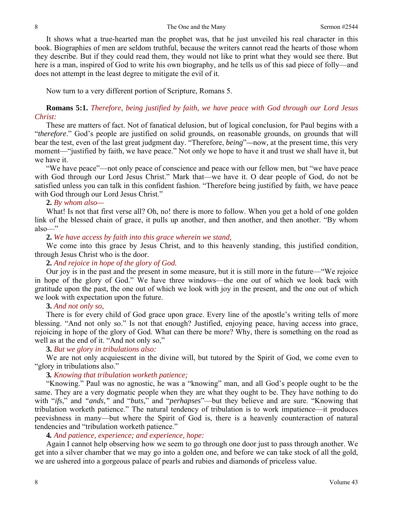It shows what a true-hearted man the prophet was, that he just unveiled his real character in this book. Biographies of men are seldom truthful, because the writers cannot read the hearts of those whom they describe. But if they could read them, they would not like to print what they would see there. But here is a man, inspired of God to write his own biography, and he tells us of this sad piece of folly—and does not attempt in the least degree to mitigate the evil of it.

Now turn to a very different portion of Scripture, Romans 5.

## **Romans 5:1.** *Therefore, being justified by faith, we have peace with God through our Lord Jesus Christ:*

These are matters of fact. Not of fanatical delusion, but of logical conclusion, for Paul begins with a "*therefore*." God's people are justified on solid grounds, on reasonable grounds, on grounds that will bear the test, even of the last great judgment day. "Therefore, *being*"*—*now*,* at the present time, this very moment—"justified by faith, we have peace." Not only we hope to have it and trust we shall have it, but we have it.

 "We have peace"—not only peace of conscience and peace with our fellow men, but "we have peace with God through our Lord Jesus Christ." Mark that—we have it. O dear people of God, do not be satisfied unless you can talk in this confident fashion. "Therefore being justified by faith, we have peace with God through our Lord Jesus Christ."

### **2.** *By whom also—*

What! Is not that first verse all? Oh, no! there is more to follow. When you get a hold of one golden link of the blessed chain of grace, it pulls up another, and then another, and then another. "By whom also—"

### **2.** *We have access by faith into this grace wherein we stand,*

We come into this grace by Jesus Christ, and to this heavenly standing, this justified condition, through Jesus Christ who is the door.

## **2.** *And rejoice in hope of the glory of God.*

Our joy is in the past and the present in some measure, but it is still more in the future—"We rejoice in hope of the glory of God." We have three windows—the one out of which we look back with gratitude upon the past, the one out of which we look with joy in the present, and the one out of which we look with expectation upon the future.

### **3.** *And not only so,*

There is for every child of God grace upon grace. Every line of the apostle's writing tells of more blessing. "And not only so." Is not that enough? Justified, enjoying peace, having access into grace, rejoicing in hope of the glory of God. What can there be more? Why, there is something on the road as well as at the end of it. "And not only so,"

### **3.** *But we glory in tribulations also:*

We are not only acquiescent in the divine will, but tutored by the Spirit of God, we come even to "glory in tribulations also."

### **3***. Knowing that tribulation worketh patience;*

"Knowing." Paul was no agnostic, he was a "knowing" man, and all God's people ought to be the same. They are a very dogmatic people when they are what they ought to be. They have nothing to do with "*ifs*," and *"ands,"* and "*buts*," and "*perhapses*"—but they believe and are sure. "Knowing that tribulation worketh patience." The natural tendency of tribulation is to work impatience—it produces peevishness in many—but where the Spirit of God is, there is a heavenly counteraction of natural tendencies and "tribulation worketh patience."

## **4***. And patience, experience; and experience, hope:*

Again I cannot help observing how we seem to go through one door just to pass through another. We get into a silver chamber that we may go into a golden one, and before we can take stock of all the gold, we are ushered into a gorgeous palace of pearls and rubies and diamonds of priceless value.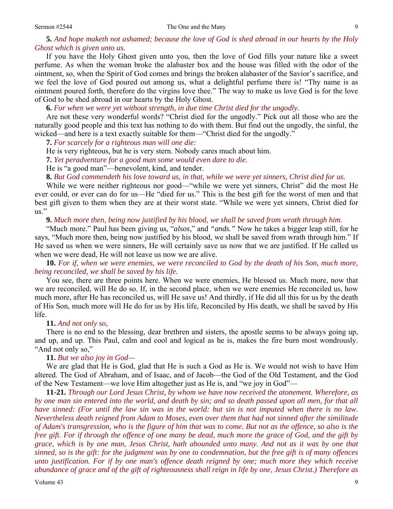## **5.** *And hope maketh not ashamed; because the love of God is shed abroad in our hearts by the Holy Ghost which is given unto us.*

If you have the Holy Ghost given unto you, then the love of God fills your nature like a sweet perfume. As when the woman broke the alabaster box and the house was filled with the odor of the ointment, so, when the Spirit of God comes and brings the broken alabaster of the Savior's sacrifice, and we feel the love of God poured out among us, what a delightful perfume there is! "Thy name is as ointment poured forth, therefore do the virgins love thee." The way to make us love God is for the love of God to be shed abroad in our hearts by the Holy Ghost.

**6.** *For when we were yet without strength, in due time Christ died for the ungodly.* 

Are not these very wonderful words? "Christ died for the ungodly." Pick out all those who are the naturally good people and this text has nothing to do with them. But find out the ungodly, the sinful, the wicked—and here is a text exactly suitable for them—"Christ died for the ungodly."

**7.** *For scarcely for a righteous man will one die:* 

He is very righteous, but he is very stern. Nobody cares much about him.

**7.** *Yet peradventure for a good man some would even dare to die.* 

He is "a good man"—benevolent, kind, and tender.

**8.** *But God commendeth his love toward us, in that, while we were yet sinners, Christ died for us.* 

While we were neither righteous nor good—"while we were yet sinners, Christ" did the most He ever could, or ever can do for us—He "died for us." This is the best gift for the worst of men and that best gift given to them when they are at their worst state. "While we were yet sinners, Christ died for us."

**9.** *Much more then, being now justified by his blood, we shall be saved from wrath through him.* 

"Much more." Paul has been giving us, "*alsos*," and *"ands."* Now he takes a bigger leap still, for he says, "Much more then, being now justified by his blood, we shall be saved from wrath through him." If He saved us when we were sinners, He will certainly save us now that we are justified. If He called us when we were dead, He will not leave us now we are alive.

**10.** *For if, when we were enemies, we were reconciled to God by the death of his Son, much more, being reconciled, we shall be saved by his life.* 

You see, there are three points here. When we were enemies, He blessed us. Much more, now that we are reconciled, will He do so. If, in the second place, when we were enemies He reconciled us, how much more, after He has reconciled us, will He save us! And thirdly, if He did all this for us by the death of His Son, much more will He do for us by His life, Reconciled by His death, we shall be saved by His life.

#### **11.** *And not only so,*

There is no end to the blessing, dear brethren and sisters, the apostle seems to be always going up, and up, and up. This Paul, calm and cool and logical as he is, makes the fire burn most wondrously. "And not only so,"

#### **11.** *But we also joy in God—*

We are glad that He is God, glad that He is such a God as He is. We would not wish to have Him altered. The God of Abraham, and of Isaac, and of Jacob—the God of the Old Testament, and the God of the New Testament—we love Him altogether just as He is, and "we joy in God"—

**11-21.** *Through our Lord Jesus Christ, by whom we have now received the atonement. Wherefore, as by one man sin entered into the world, and death by sin; and so death passed upon all men, for that all have sinned: (For until the law sin was in the world: but sin is not imputed when there is no law. Nevertheless death reigned from Adam to Moses, even over them that had not sinned after the similitude of Adam's transgression, who is the figure of him that was to come. But not as the offence, so also is the free gift. For if through the offence of one many be dead, much more the grace of God, and the gift by grace, which is by one man, Jesus Christ, hath abounded unto many. And not as it was by one that sinned, so is the gift: for the judgment was by one to condemnation, but the free gift is of many offences unto justification. For if by one man's offence death reigned by one; much more they which receive abundance of grace and of the gift of righteousness shall reign in life by one, Jesus Christ.) Therefore as*